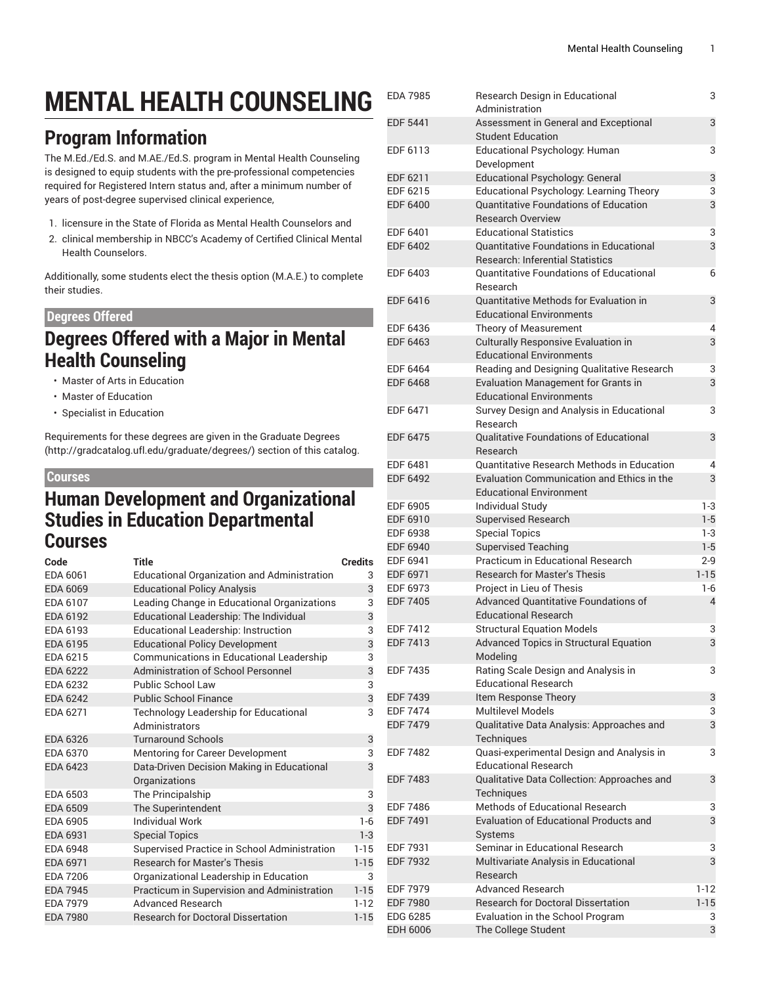# **MENTAL HEALTH COUNSELING**

## **Program Information**

The M.Ed./Ed.S. and M.AE./Ed.S. program in Mental Health Counseling is designed to equip students with the pre-professional competencies required for Registered Intern status and, after a minimum number of years of post-degree supervised clinical experience,

- 1. licensure in the State of Florida as Mental Health Counselors and
- 2. clinical membership in NBCC's Academy of Certified Clinical Mental Health Counselors.

Additionally, some students elect the thesis option (M.A.E.) to complete their studies.

#### **Degrees Offered**

### **Degrees Offered with a Major in Mental Health Counseling**

- Master of Arts in Education
- Master of Education
- Specialist in Education

Requirements for these degrees are given in the [Graduate](http://gradcatalog.ufl.edu/graduate/degrees/) Degrees ([http://gradcatalog.ufl.edu/graduate/degrees/\)](http://gradcatalog.ufl.edu/graduate/degrees/) section of this catalog.

#### **Courses**

### **Human Development and Organizational Studies in Education Departmental Courses**

| Code            | Title                                              | <b>Credits</b> |
|-----------------|----------------------------------------------------|----------------|
| EDA 6061        | <b>Educational Organization and Administration</b> | 3              |
| EDA 6069        | <b>Educational Policy Analysis</b>                 | 3              |
| EDA 6107        | Leading Change in Educational Organizations        | 3              |
| EDA 6192        | Educational Leadership: The Individual             | 3              |
| EDA 6193        | Educational Leadership: Instruction                | 3              |
| EDA 6195        | <b>Educational Policy Development</b>              | 3              |
| EDA 6215        | Communications in Educational Leadership           | 3              |
| <b>EDA 6222</b> | Administration of School Personnel                 | 3              |
| EDA 6232        | Public School Law                                  | 3              |
| <b>EDA 6242</b> | <b>Public School Finance</b>                       | 3              |
| EDA 6271        | Technology Leadership for Educational              | 3              |
|                 | Administrators                                     |                |
| EDA 6326        | <b>Turnaround Schools</b>                          | 3              |
| EDA 6370        | <b>Mentoring for Career Development</b>            | 3              |
| EDA 6423        | Data-Driven Decision Making in Educational         | 3              |
|                 | Organizations                                      |                |
| EDA 6503        | The Principalship                                  | 3              |
| <b>EDA 6509</b> | The Superintendent                                 | 3              |
| EDA 6905        | <b>Individual Work</b>                             | $1 - 6$        |
| EDA 6931        | <b>Special Topics</b>                              | $1 - 3$        |
| EDA 6948        | Supervised Practice in School Administration       | $1 - 15$       |
| EDA 6971        | <b>Research for Master's Thesis</b>                | $1 - 15$       |
| <b>EDA 7206</b> | Organizational Leadership in Education             | 3              |
| <b>EDA 7945</b> | Practicum in Supervision and Administration        | $1 - 15$       |
| <b>EDA 7979</b> | Advanced Research                                  | $1 - 12$       |
| <b>EDA 7980</b> | <b>Research for Doctoral Dissertation</b>          | $1 - 15$       |
|                 |                                                    |                |

| <b>EDA 7985</b>                    | Research Design in Educational                                    | 3        |
|------------------------------------|-------------------------------------------------------------------|----------|
|                                    | Administration                                                    |          |
| <b>EDF 5441</b>                    | Assessment in General and Exceptional<br><b>Student Education</b> | 3        |
| EDF 6113                           | Educational Psychology: Human                                     | 3        |
|                                    | Development                                                       |          |
| EDF 6211                           | <b>Educational Psychology: General</b>                            | 3        |
| EDF 6215                           | Educational Psychology: Learning Theory                           | 3        |
| <b>EDF 6400</b>                    | <b>Quantitative Foundations of Education</b>                      | 3        |
|                                    | <b>Research Overview</b>                                          |          |
| EDF 6401                           | <b>Educational Statistics</b>                                     | 3        |
| <b>EDF 6402</b>                    | <b>Quantitative Foundations in Educational</b>                    | 3        |
|                                    | <b>Research: Inferential Statistics</b>                           |          |
| FDF 6403                           | <b>Ouantitative Foundations of Educational</b>                    | 6        |
|                                    | Research                                                          |          |
| EDF 6416                           | Quantitative Methods for Evaluation in                            | 3        |
|                                    | <b>Educational Environments</b>                                   |          |
| EDF 6436                           | Theory of Measurement                                             | 4        |
| <b>EDF 6463</b>                    | Culturally Responsive Evaluation in                               | 3        |
|                                    | <b>Educational Environments</b>                                   |          |
| EDF 6464                           | Reading and Designing Qualitative Research                        | 3        |
| <b>EDF 6468</b>                    | Evaluation Management for Grants in                               | 3        |
|                                    | <b>Educational Environments</b>                                   |          |
| EDF 6471                           | Survey Design and Analysis in Educational                         | 3        |
|                                    | Research                                                          |          |
| <b>EDF 6475</b>                    | <b>Qualitative Foundations of Educational</b>                     | 3        |
|                                    | Research<br>Quantitative Research Methods in Education            |          |
| EDF 6481<br><b>EDF 6492</b>        | <b>Evaluation Communication and Ethics in the</b>                 | 4<br>3   |
|                                    | <b>Educational Environment</b>                                    |          |
| EDF 6905                           | Individual Study                                                  | $1-3$    |
| EDF 6910                           | <b>Supervised Research</b>                                        | $1 - 5$  |
| EDF 6938                           | <b>Special Topics</b>                                             | $1-3$    |
| <b>EDF 6940</b>                    | <b>Supervised Teaching</b>                                        | $1 - 5$  |
| EDF 6941                           | Practicum in Educational Research                                 | $2 - 9$  |
| EDF 6971                           | Research for Master's Thesis                                      | $1 - 15$ |
| EDF 6973                           | Project in Lieu of Thesis                                         | 1-6      |
| <b>EDF 7405</b>                    | Advanced Quantitative Foundations of                              | 4        |
|                                    | <b>Educational Research</b>                                       |          |
| EDF 7412                           | <b>Structural Equation Models</b>                                 | 3        |
| <b>EDF 7413</b>                    | Advanced Topics in Structural Equation                            | 3        |
|                                    | Modeling                                                          |          |
| <b>EDF 7435</b>                    | Rating Scale Design and Analysis in                               | 3        |
|                                    | <b>Educational Research</b>                                       |          |
| <b>EDF 7439</b>                    | Item Response Theory                                              | 3        |
| <b>EDF 7474</b>                    | <b>Multilevel Models</b>                                          | 3        |
| <b>EDF 7479</b>                    | Qualitative Data Analysis: Approaches and                         | 3        |
|                                    | Techniques                                                        |          |
| <b>EDF 7482</b>                    | Quasi-experimental Design and Analysis in                         | 3        |
|                                    | <b>Educational Research</b>                                       |          |
| <b>EDF 7483</b>                    | Qualitative Data Collection: Approaches and                       | 3        |
|                                    | Techniques<br>Methods of Educational Research                     |          |
| <b>EDF 7486</b><br><b>EDF 7491</b> | <b>Evaluation of Educational Products and</b>                     | 3<br>3   |
|                                    | Systems                                                           |          |
| EDF 7931                           | Seminar in Educational Research                                   | 3        |
| <b>EDF 7932</b>                    | Multivariate Analysis in Educational                              | 3        |
|                                    | Research                                                          |          |
| EDF 7979                           | Advanced Research                                                 | $1-12$   |
| <b>EDF 7980</b>                    | <b>Research for Doctoral Dissertation</b>                         | $1 - 15$ |
| EDG 6285                           | Evaluation in the School Program                                  | 3        |
| <b>EDH 6006</b>                    | The College Student                                               | 3        |
|                                    |                                                                   |          |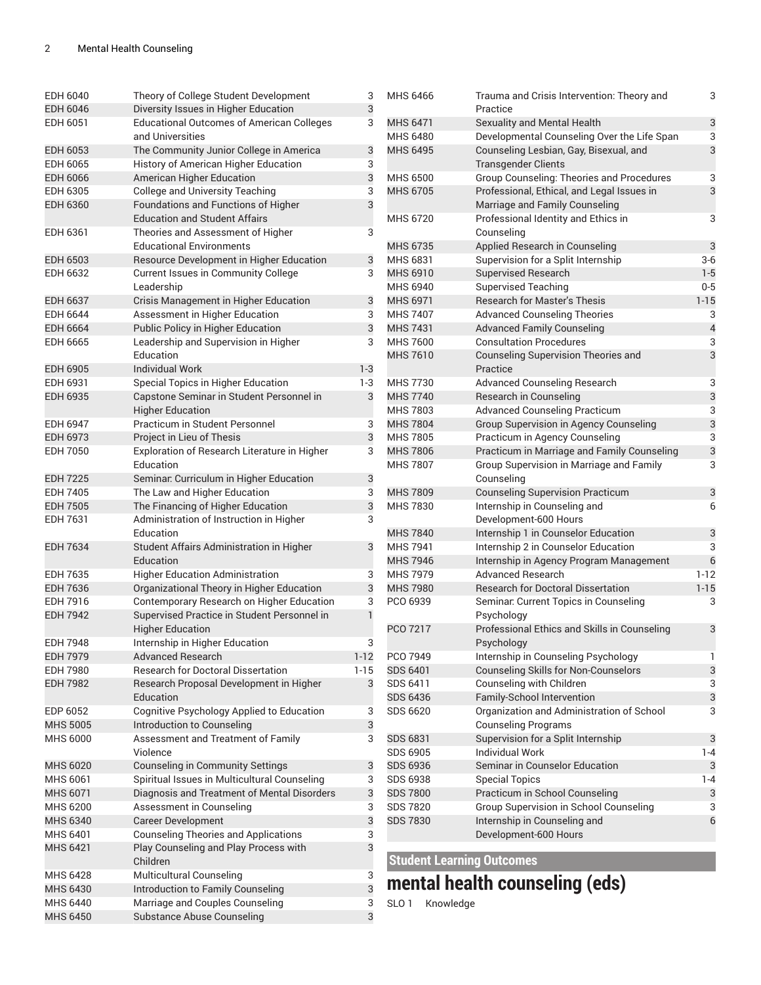| <b>EDH 6040</b>                    | Theory of College Student Development                      | 3                         | MHS 6466                         | Trauma and Crisis Intervention: Theory and                          | 3                        |
|------------------------------------|------------------------------------------------------------|---------------------------|----------------------------------|---------------------------------------------------------------------|--------------------------|
| EDH 6046                           | Diversity Issues in Higher Education                       | 3                         |                                  | Practice                                                            |                          |
| EDH 6051                           | <b>Educational Outcomes of American Colleges</b>           | 3                         | <b>MHS 6471</b>                  | Sexuality and Mental Health                                         | 3                        |
|                                    | and Universities                                           |                           | <b>MHS 6480</b>                  | Developmental Counseling Over the Life Span                         | 3                        |
| <b>EDH 6053</b>                    | The Community Junior College in America                    | 3                         | <b>MHS 6495</b>                  | Counseling Lesbian, Gay, Bisexual, and                              | 3                        |
| EDH 6065                           | History of American Higher Education                       | 3                         |                                  | <b>Transgender Clients</b>                                          |                          |
| <b>EDH 6066</b>                    | American Higher Education                                  | $\mathfrak{B}$            | <b>MHS 6500</b>                  | Group Counseling: Theories and Procedures                           | 3                        |
| EDH 6305                           | <b>College and University Teaching</b>                     | 3                         | MHS 6705                         | Professional, Ethical, and Legal Issues in                          | 3                        |
| <b>EDH 6360</b>                    | Foundations and Functions of Higher                        | 3                         |                                  | Marriage and Family Counseling                                      |                          |
|                                    | <b>Education and Student Affairs</b>                       |                           | MHS 6720                         | Professional Identity and Ethics in                                 | 3                        |
| EDH 6361                           | Theories and Assessment of Higher                          | 3                         |                                  | Counseling                                                          |                          |
|                                    | <b>Educational Environments</b>                            |                           | MHS 6735                         | Applied Research in Counseling                                      | $\sqrt{3}$               |
| <b>EDH 6503</b>                    | Resource Development in Higher Education                   | 3                         | MHS 6831                         | Supervision for a Split Internship                                  | $3-6$                    |
| EDH 6632                           | Current Issues in Community College                        | 3                         | MHS 6910                         | <b>Supervised Research</b>                                          | $1 - 5$                  |
|                                    | Leadership                                                 |                           | MHS 6940                         | <b>Supervised Teaching</b>                                          | $0-5$                    |
| <b>EDH 6637</b>                    | Crisis Management in Higher Education                      | 3                         | MHS 6971                         | <b>Research for Master's Thesis</b>                                 | $1 - 15$                 |
| EDH 6644                           | Assessment in Higher Education                             | 3                         | <b>MHS 7407</b>                  | <b>Advanced Counseling Theories</b>                                 | 3                        |
| <b>EDH 6664</b>                    | Public Policy in Higher Education                          | $\ensuremath{\mathsf{3}}$ | <b>MHS 7431</b>                  | <b>Advanced Family Counseling</b>                                   | $\overline{\mathcal{L}}$ |
| <b>EDH 6665</b>                    | Leadership and Supervision in Higher                       | 3                         | <b>MHS 7600</b>                  | <b>Consultation Procedures</b>                                      | 3                        |
|                                    | Education                                                  |                           | MHS 7610                         | Counseling Supervision Theories and                                 | 3                        |
| <b>EDH 6905</b>                    | <b>Individual Work</b>                                     | $1 - 3$                   |                                  | Practice                                                            |                          |
| EDH 6931                           | Special Topics in Higher Education                         | $1-3$                     | <b>MHS 7730</b>                  | Advanced Counseling Research                                        | 3                        |
| <b>EDH 6935</b>                    | Capstone Seminar in Student Personnel in                   | 3                         | <b>MHS 7740</b>                  | Research in Counseling                                              | 3                        |
|                                    | <b>Higher Education</b>                                    |                           | <b>MHS 7803</b>                  | <b>Advanced Counseling Practicum</b>                                | 3                        |
| <b>EDH 6947</b>                    | Practicum in Student Personnel                             | 3                         | <b>MHS7804</b>                   | Group Supervision in Agency Counseling                              | 3                        |
| EDH 6973                           | Project in Lieu of Thesis                                  | $\sqrt{3}$                | <b>MHS 7805</b>                  | Practicum in Agency Counseling                                      | 3                        |
| <b>EDH 7050</b>                    | Exploration of Research Literature in Higher               | 3                         | <b>MHS 7806</b>                  | Practicum in Marriage and Family Counseling                         | 3                        |
|                                    | Education                                                  |                           | <b>MHS 7807</b>                  | Group Supervision in Marriage and Family                            | 3                        |
| <b>EDH 7225</b>                    | Seminar: Curriculum in Higher Education                    | $\ensuremath{\mathsf{3}}$ |                                  | Counseling                                                          |                          |
| <b>EDH 7405</b>                    | The Law and Higher Education                               | 3                         | <b>MHS 7809</b>                  | <b>Counseling Supervision Practicum</b>                             | 3                        |
| <b>EDH 7505</b>                    | The Financing of Higher Education                          | $\sqrt{3}$                | <b>MHS 7830</b>                  | Internship in Counseling and                                        | 6                        |
| EDH 7631                           | Administration of Instruction in Higher                    | 3                         |                                  | Development-600 Hours                                               |                          |
|                                    | Education                                                  |                           | <b>MHS 7840</b>                  | Internship 1 in Counselor Education                                 | 3                        |
| <b>EDH 7634</b>                    | Student Affairs Administration in Higher<br>Education      | 3                         | <b>MHS 7941</b>                  | Internship 2 in Counselor Education                                 | 3                        |
| EDH 7635                           | <b>Higher Education Administration</b>                     | 3                         | MHS 7946<br><b>MHS 7979</b>      | Internship in Agency Program Management<br><b>Advanced Research</b> | $6\,$<br>$1 - 12$        |
| <b>EDH 7636</b>                    | Organizational Theory in Higher Education                  | $\ensuremath{\mathsf{3}}$ | <b>MHS 7980</b>                  | Research for Doctoral Dissertation                                  | $1 - 15$                 |
| EDH 7916                           | Contemporary Research on Higher Education                  | 3                         | PCO 6939                         |                                                                     | 3                        |
| <b>EDH 7942</b>                    | Supervised Practice in Student Personnel in                | $\mathbf{1}$              |                                  | Seminar: Current Topics in Counseling<br>Psychology                 |                          |
|                                    |                                                            |                           | PCO 7217                         | Professional Ethics and Skills in Counseling                        |                          |
|                                    | <b>Higher Education</b>                                    | 3                         |                                  |                                                                     | 3                        |
| <b>EDH 7948</b><br><b>EDH 7979</b> | Internship in Higher Education<br><b>Advanced Research</b> | $1 - 12$                  | PCO 7949                         | Psychology                                                          | 1                        |
|                                    | <b>Research for Doctoral Dissertation</b>                  |                           |                                  | Internship in Counseling Psychology                                 |                          |
| <b>EDH 7980</b>                    |                                                            | $1 - 15$                  | <b>SDS 6401</b><br>SDS 6411      | <b>Counseling Skills for Non-Counselors</b>                         | 3                        |
| <b>EDH 7982</b>                    | Research Proposal Development in Higher<br>Education       | 3                         | <b>SDS 6436</b>                  | Counseling with Children<br>Family-School Intervention              | 3                        |
| EDP 6052                           | Cognitive Psychology Applied to Education                  | 3                         | SDS 6620                         | Organization and Administration of School                           | 3<br>3                   |
| <b>MHS 5005</b>                    | Introduction to Counseling                                 | 3                         |                                  | <b>Counseling Programs</b>                                          |                          |
| <b>MHS 6000</b>                    | Assessment and Treatment of Family                         | 3                         | <b>SDS 6831</b>                  | Supervision for a Split Internship                                  | 3                        |
|                                    | Violence                                                   |                           | SDS 6905                         | <b>Individual Work</b>                                              | $1 - 4$                  |
| <b>MHS 6020</b>                    | <b>Counseling in Community Settings</b>                    | 3                         | <b>SDS 6936</b>                  | Seminar in Counselor Education                                      | 3                        |
| MHS 6061                           | Spiritual Issues in Multicultural Counseling               | 3                         | <b>SDS 6938</b>                  | <b>Special Topics</b>                                               | $1 - 4$                  |
| MHS 6071                           | Diagnosis and Treatment of Mental Disorders                | 3                         | <b>SDS 7800</b>                  | Practicum in School Counseling                                      | 3                        |
| MHS 6200                           | Assessment in Counseling                                   | 3                         | <b>SDS 7820</b>                  | Group Supervision in School Counseling                              | 3                        |
| MHS 6340                           | <b>Career Development</b>                                  | 3                         | <b>SDS 7830</b>                  | Internship in Counseling and                                        | 6                        |
| MHS 6401                           | <b>Counseling Theories and Applications</b>                | 3                         |                                  | Development-600 Hours                                               |                          |
| MHS 6421                           | Play Counseling and Play Process with                      | 3                         |                                  |                                                                     |                          |
|                                    | Children                                                   |                           | <b>Student Learning Outcomes</b> |                                                                     |                          |
| MHS 6428                           | Multicultural Counseling                                   | 3                         |                                  |                                                                     |                          |
| MHS 6430                           | Introduction to Family Counseling                          | 3                         |                                  | mental health counseling (eds)                                      |                          |
| MHS 6440                           | Marriage and Couples Counseling                            | 3                         | SLO <sub>1</sub><br>Knowledge    |                                                                     |                          |
| <b>MHS 6450</b>                    | <b>Substance Abuse Counseling</b>                          | 3                         |                                  |                                                                     |                          |
|                                    |                                                            |                           |                                  |                                                                     |                          |